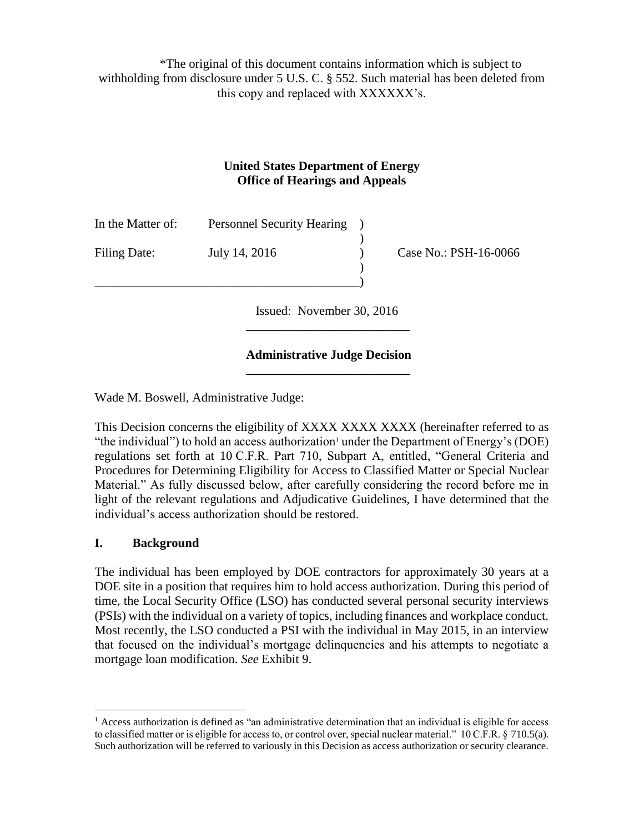\*The original of this document contains information which is subject to withholding from disclosure under 5 U.S. C. § 552. Such material has been deleted from this copy and replaced with XXXXXX's.

#### **United States Department of Energy Office of Hearings and Appeals**

| In the Matter of: | <b>Personnel Security Hearing</b> |                       |
|-------------------|-----------------------------------|-----------------------|
| Filing Date:      | July 14, 2016                     | Case No.: PSH-16-0066 |
|                   |                                   |                       |

 Issued: November 30, 2016 **\_\_\_\_\_\_\_\_\_\_\_\_\_\_\_\_\_\_\_\_\_\_\_\_\_\_**

#### **Administrative Judge Decision \_\_\_\_\_\_\_\_\_\_\_\_\_\_\_\_\_\_\_\_\_\_\_\_\_\_**

Wade M. Boswell, Administrative Judge:

This Decision concerns the eligibility of XXXX XXXX XXXX (hereinafter referred to as "the individual") to hold an access authorization under the Department of Energy's (DOE) regulations set forth at 10 C.F.R. Part 710, Subpart A, entitled, "General Criteria and Procedures for Determining Eligibility for Access to Classified Matter or Special Nuclear Material." As fully discussed below, after carefully considering the record before me in light of the relevant regulations and Adjudicative Guidelines, I have determined that the individual's access authorization should be restored.

# **I. Background**

 $\overline{a}$ 

The individual has been employed by DOE contractors for approximately 30 years at a DOE site in a position that requires him to hold access authorization. During this period of time, the Local Security Office (LSO) has conducted several personal security interviews (PSIs) with the individual on a variety of topics, including finances and workplace conduct. Most recently, the LSO conducted a PSI with the individual in May 2015, in an interview that focused on the individual's mortgage delinquencies and his attempts to negotiate a mortgage loan modification. *See* Exhibit 9.

 $<sup>1</sup>$  Access authorization is defined as "an administrative determination that an individual is eligible for access</sup> to classified matter or is eligible for access to, or control over, special nuclear material." 10 C.F.R. § 710.5(a). Such authorization will be referred to variously in this Decision as access authorization or security clearance.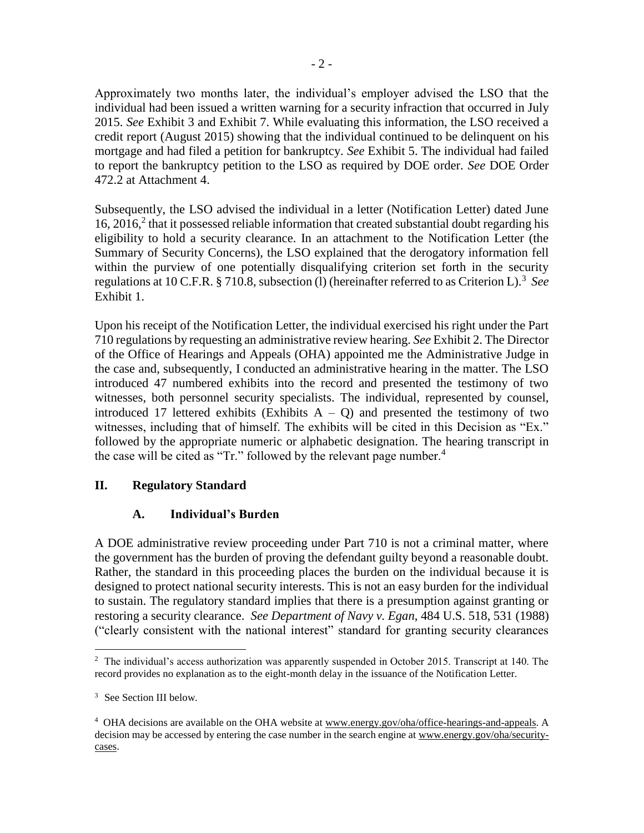Approximately two months later, the individual's employer advised the LSO that the individual had been issued a written warning for a security infraction that occurred in July 2015. *See* Exhibit 3 and Exhibit 7. While evaluating this information, the LSO received a credit report (August 2015) showing that the individual continued to be delinquent on his mortgage and had filed a petition for bankruptcy. *See* Exhibit 5. The individual had failed to report the bankruptcy petition to the LSO as required by DOE order. *See* DOE Order 472.2 at Attachment 4.

Subsequently, the LSO advised the individual in a letter (Notification Letter) dated June 16, 2016, $^2$  that it possessed reliable information that created substantial doubt regarding his eligibility to hold a security clearance. In an attachment to the Notification Letter (the Summary of Security Concerns), the LSO explained that the derogatory information fell within the purview of one potentially disqualifying criterion set forth in the security regulations at 10 C.F.R. § 710.8, subsection (1) (hereinafter referred to as Criterion L).<sup>3</sup> See Exhibit 1.

Upon his receipt of the Notification Letter, the individual exercised his right under the Part 710 regulations by requesting an administrative review hearing. *See* Exhibit 2. The Director of the Office of Hearings and Appeals (OHA) appointed me the Administrative Judge in the case and, subsequently, I conducted an administrative hearing in the matter. The LSO introduced 47 numbered exhibits into the record and presented the testimony of two witnesses, both personnel security specialists. The individual, represented by counsel, introduced 17 lettered exhibits (Exhibits  $A - Q$ ) and presented the testimony of two witnesses, including that of himself. The exhibits will be cited in this Decision as "Ex." followed by the appropriate numeric or alphabetic designation. The hearing transcript in the case will be cited as "Tr." followed by the relevant page number.<sup>4</sup>

# **II. Regulatory Standard**

# **A. Individual's Burden**

A DOE administrative review proceeding under Part 710 is not a criminal matter, where the government has the burden of proving the defendant guilty beyond a reasonable doubt. Rather, the standard in this proceeding places the burden on the individual because it is designed to protect national security interests. This is not an easy burden for the individual to sustain. The regulatory standard implies that there is a presumption against granting or restoring a security clearance. *See Department of Navy v. Egan*, 484 U.S. 518, 531 (1988) ("clearly consistent with the national interest" standard for granting security clearances

 $\overline{a}$ <sup>2</sup> The individual's access authorization was apparently suspended in October 2015. Transcript at 140. The record provides no explanation as to the eight-month delay in the issuance of the Notification Letter.

<sup>&</sup>lt;sup>3</sup> See Section III below.

<sup>&</sup>lt;sup>4</sup> OHA decisions are available on the OHA website at www.energy.gov/oha/office-hearings-and-appeals. A decision may be accessed by entering the case number in the search engine at www.energy.gov/oha/securitycases.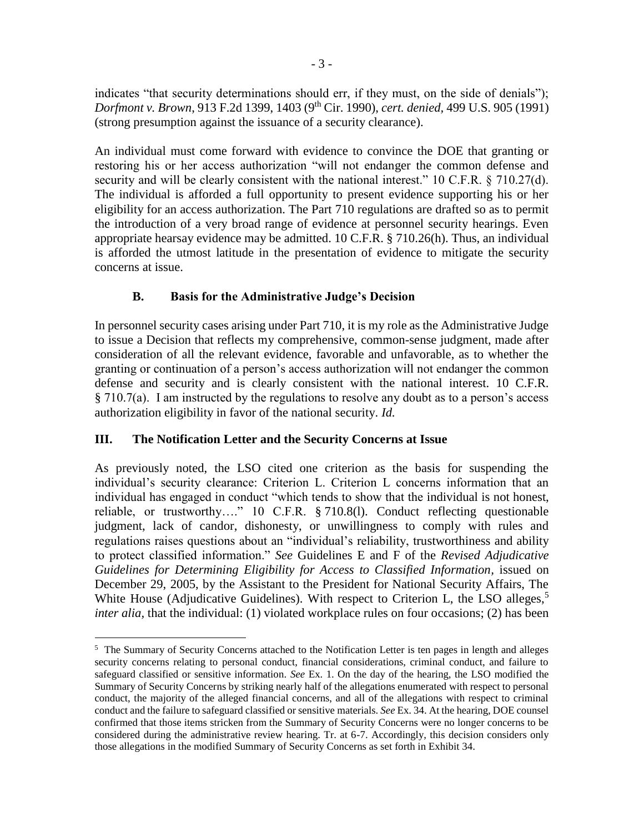indicates "that security determinations should err, if they must, on the side of denials"); *Dorfmont v. Brown*, 913 F.2d 1399, 1403 (9th Cir. 1990), *cert. denied,* 499 U.S. 905 (1991) (strong presumption against the issuance of a security clearance).

An individual must come forward with evidence to convince the DOE that granting or restoring his or her access authorization "will not endanger the common defense and security and will be clearly consistent with the national interest." 10 C.F.R. § 710.27(d). The individual is afforded a full opportunity to present evidence supporting his or her eligibility for an access authorization. The Part 710 regulations are drafted so as to permit the introduction of a very broad range of evidence at personnel security hearings. Even appropriate hearsay evidence may be admitted. 10 C.F.R. § 710.26(h). Thus, an individual is afforded the utmost latitude in the presentation of evidence to mitigate the security concerns at issue.

# **B. Basis for the Administrative Judge's Decision**

In personnel security cases arising under Part 710, it is my role as the Administrative Judge to issue a Decision that reflects my comprehensive, common-sense judgment, made after consideration of all the relevant evidence, favorable and unfavorable, as to whether the granting or continuation of a person's access authorization will not endanger the common defense and security and is clearly consistent with the national interest. 10 C.F.R. § 710.7(a). I am instructed by the regulations to resolve any doubt as to a person's access authorization eligibility in favor of the national security. *Id.*

# **III. The Notification Letter and the Security Concerns at Issue**

 $\overline{a}$ 

As previously noted, the LSO cited one criterion as the basis for suspending the individual's security clearance: Criterion L. Criterion L concerns information that an individual has engaged in conduct "which tends to show that the individual is not honest, reliable, or trustworthy…." 10 C.F.R. § 710.8(l). Conduct reflecting questionable judgment, lack of candor, dishonesty, or unwillingness to comply with rules and regulations raises questions about an "individual's reliability, trustworthiness and ability to protect classified information." *See* Guidelines E and F of the *Revised Adjudicative Guidelines for Determining Eligibility for Access to Classified Information,* issued on December 29, 2005, by the Assistant to the President for National Security Affairs, The White House (Adjudicative Guidelines). With respect to Criterion L, the LSO alleges,<sup>5</sup> *inter alia*, that the individual: (1) violated workplace rules on four occasions; (2) has been

<sup>&</sup>lt;sup>5</sup> The Summary of Security Concerns attached to the Notification Letter is ten pages in length and alleges security concerns relating to personal conduct, financial considerations, criminal conduct, and failure to safeguard classified or sensitive information. *See* Ex. 1. On the day of the hearing, the LSO modified the Summary of Security Concerns by striking nearly half of the allegations enumerated with respect to personal conduct, the majority of the alleged financial concerns, and all of the allegations with respect to criminal conduct and the failure to safeguard classified or sensitive materials. *See* Ex. 34. At the hearing, DOE counsel confirmed that those items stricken from the Summary of Security Concerns were no longer concerns to be considered during the administrative review hearing. Tr. at 6-7. Accordingly, this decision considers only those allegations in the modified Summary of Security Concerns as set forth in Exhibit 34.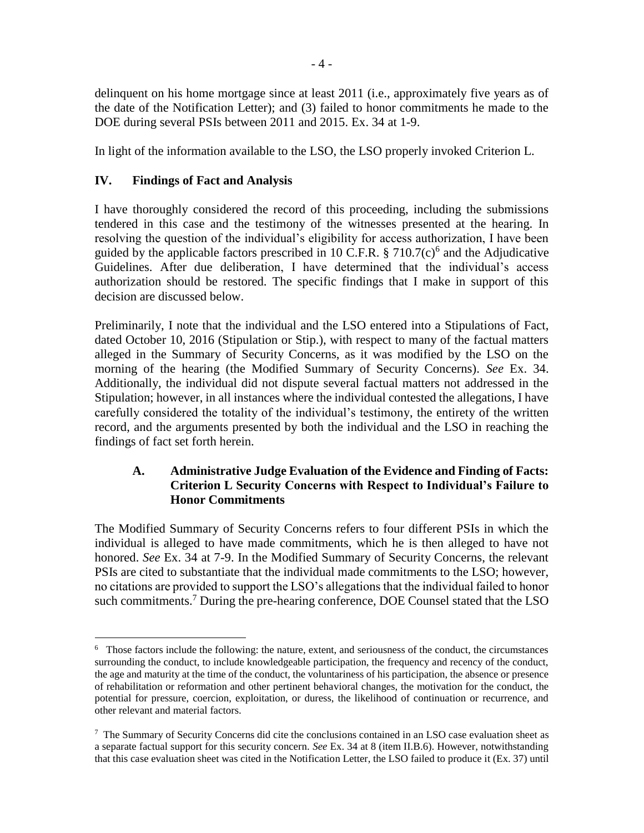delinquent on his home mortgage since at least 2011 (i.e., approximately five years as of the date of the Notification Letter); and (3) failed to honor commitments he made to the DOE during several PSIs between 2011 and 2015. Ex. 34 at 1-9.

In light of the information available to the LSO, the LSO properly invoked Criterion L.

#### **IV. Findings of Fact and Analysis**

 $\overline{a}$ 

I have thoroughly considered the record of this proceeding, including the submissions tendered in this case and the testimony of the witnesses presented at the hearing. In resolving the question of the individual's eligibility for access authorization, I have been guided by the applicable factors prescribed in 10 C.F.R.  $\S 710.7(c)^6$  and the Adjudicative Guidelines. After due deliberation, I have determined that the individual's access authorization should be restored. The specific findings that I make in support of this decision are discussed below.

Preliminarily, I note that the individual and the LSO entered into a Stipulations of Fact, dated October 10, 2016 (Stipulation or Stip.), with respect to many of the factual matters alleged in the Summary of Security Concerns, as it was modified by the LSO on the morning of the hearing (the Modified Summary of Security Concerns). *See* Ex. 34. Additionally, the individual did not dispute several factual matters not addressed in the Stipulation; however, in all instances where the individual contested the allegations, I have carefully considered the totality of the individual's testimony, the entirety of the written record, and the arguments presented by both the individual and the LSO in reaching the findings of fact set forth herein.

#### **A. Administrative Judge Evaluation of the Evidence and Finding of Facts: Criterion L Security Concerns with Respect to Individual's Failure to Honor Commitments**

The Modified Summary of Security Concerns refers to four different PSIs in which the individual is alleged to have made commitments, which he is then alleged to have not honored. *See* Ex. 34 at 7-9. In the Modified Summary of Security Concerns, the relevant PSIs are cited to substantiate that the individual made commitments to the LSO; however, no citations are provided to support the LSO's allegations that the individual failed to honor such commitments.<sup>7</sup> During the pre-hearing conference, DOE Counsel stated that the LSO

<sup>&</sup>lt;sup>6</sup> Those factors include the following: the nature, extent, and seriousness of the conduct, the circumstances surrounding the conduct, to include knowledgeable participation, the frequency and recency of the conduct, the age and maturity at the time of the conduct, the voluntariness of his participation, the absence or presence of rehabilitation or reformation and other pertinent behavioral changes, the motivation for the conduct, the potential for pressure, coercion, exploitation, or duress, the likelihood of continuation or recurrence, and other relevant and material factors.

 $7$  The Summary of Security Concerns did cite the conclusions contained in an LSO case evaluation sheet as a separate factual support for this security concern. *See* Ex. 34 at 8 (item II.B.6). However, notwithstanding that this case evaluation sheet was cited in the Notification Letter, the LSO failed to produce it (Ex. 37) until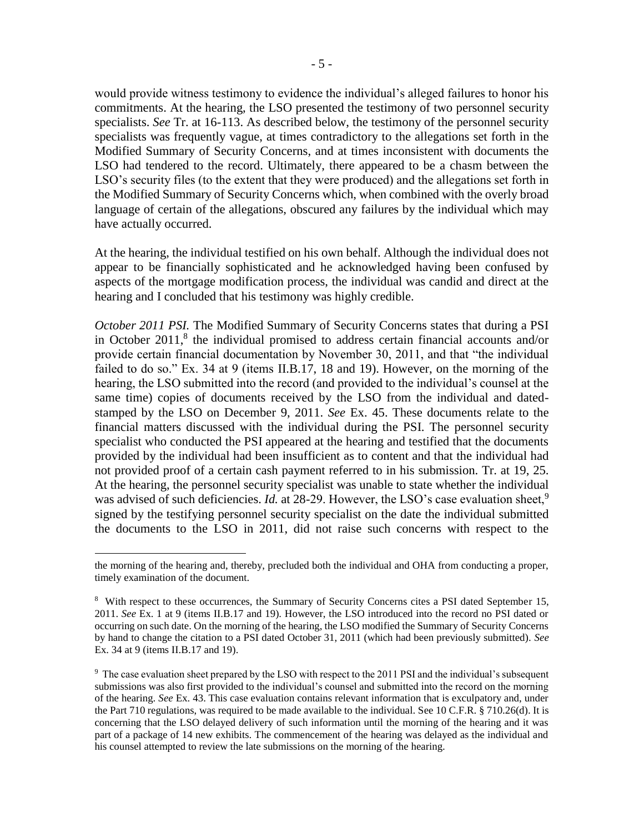would provide witness testimony to evidence the individual's alleged failures to honor his commitments. At the hearing, the LSO presented the testimony of two personnel security specialists. *See* Tr. at 16-113. As described below, the testimony of the personnel security specialists was frequently vague, at times contradictory to the allegations set forth in the Modified Summary of Security Concerns, and at times inconsistent with documents the LSO had tendered to the record. Ultimately, there appeared to be a chasm between the LSO's security files (to the extent that they were produced) and the allegations set forth in the Modified Summary of Security Concerns which, when combined with the overly broad language of certain of the allegations, obscured any failures by the individual which may have actually occurred.

At the hearing, the individual testified on his own behalf. Although the individual does not appear to be financially sophisticated and he acknowledged having been confused by aspects of the mortgage modification process, the individual was candid and direct at the hearing and I concluded that his testimony was highly credible.

*October 2011 PSI*. The Modified Summary of Security Concerns states that during a PSI in October  $2011$ ,<sup>8</sup> the individual promised to address certain financial accounts and/or provide certain financial documentation by November 30, 2011, and that "the individual failed to do so." Ex. 34 at 9 (items II.B.17, 18 and 19). However, on the morning of the hearing, the LSO submitted into the record (and provided to the individual's counsel at the same time) copies of documents received by the LSO from the individual and datedstamped by the LSO on December 9, 2011. *See* Ex. 45. These documents relate to the financial matters discussed with the individual during the PSI. The personnel security specialist who conducted the PSI appeared at the hearing and testified that the documents provided by the individual had been insufficient as to content and that the individual had not provided proof of a certain cash payment referred to in his submission. Tr. at 19, 25. At the hearing, the personnel security specialist was unable to state whether the individual was advised of such deficiencies. *Id.* at 28-29. However, the LSO's case evaluation sheet,<sup>9</sup> signed by the testifying personnel security specialist on the date the individual submitted the documents to the LSO in 2011, did not raise such concerns with respect to the

 $\overline{a}$ 

the morning of the hearing and, thereby, precluded both the individual and OHA from conducting a proper, timely examination of the document.

<sup>&</sup>lt;sup>8</sup> With respect to these occurrences, the Summary of Security Concerns cites a PSI dated September 15, 2011. *See* Ex. 1 at 9 (items II.B.17 and 19). However, the LSO introduced into the record no PSI dated or occurring on such date. On the morning of the hearing, the LSO modified the Summary of Security Concerns by hand to change the citation to a PSI dated October 31, 2011 (which had been previously submitted). *See* Ex. 34 at 9 (items II.B.17 and 19).

<sup>&</sup>lt;sup>9</sup> The case evaluation sheet prepared by the LSO with respect to the 2011 PSI and the individual's subsequent submissions was also first provided to the individual's counsel and submitted into the record on the morning of the hearing. *See* Ex. 43. This case evaluation contains relevant information that is exculpatory and, under the Part 710 regulations, was required to be made available to the individual. See 10 C.F.R. § 710.26(d). It is concerning that the LSO delayed delivery of such information until the morning of the hearing and it was part of a package of 14 new exhibits. The commencement of the hearing was delayed as the individual and his counsel attempted to review the late submissions on the morning of the hearing.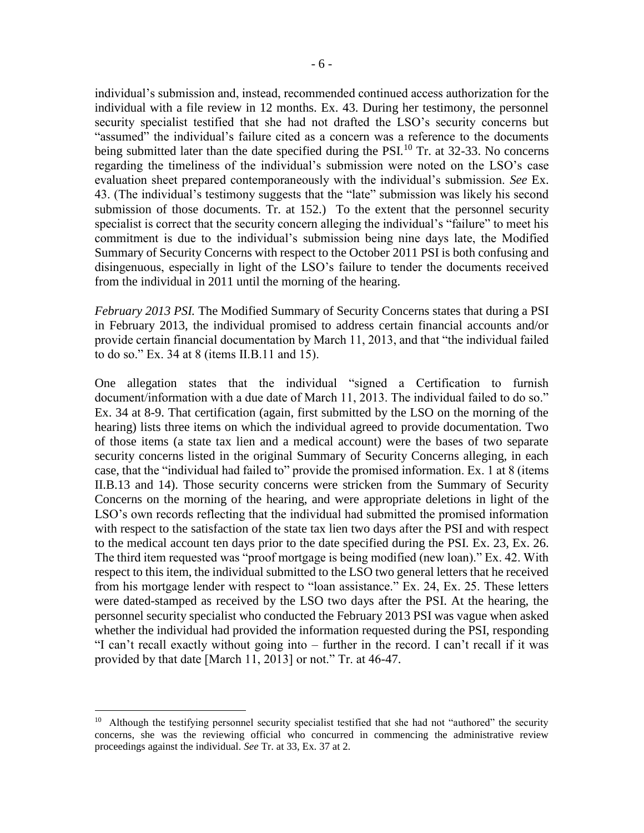individual's submission and, instead, recommended continued access authorization for the individual with a file review in 12 months. Ex. 43. During her testimony, the personnel security specialist testified that she had not drafted the LSO's security concerns but "assumed" the individual's failure cited as a concern was a reference to the documents being submitted later than the date specified during the PSI.<sup>10</sup> Tr. at 32-33. No concerns regarding the timeliness of the individual's submission were noted on the LSO's case evaluation sheet prepared contemporaneously with the individual's submission. *See* Ex. 43. (The individual's testimony suggests that the "late" submission was likely his second submission of those documents. Tr. at 152.) To the extent that the personnel security specialist is correct that the security concern alleging the individual's "failure" to meet his commitment is due to the individual's submission being nine days late, the Modified Summary of Security Concerns with respect to the October 2011 PSI is both confusing and disingenuous, especially in light of the LSO's failure to tender the documents received from the individual in 2011 until the morning of the hearing.

*February 2013 PSI.* The Modified Summary of Security Concerns states that during a PSI in February 2013, the individual promised to address certain financial accounts and/or provide certain financial documentation by March 11, 2013, and that "the individual failed to do so." Ex. 34 at 8 (items II.B.11 and 15).

One allegation states that the individual "signed a Certification to furnish document/information with a due date of March 11, 2013. The individual failed to do so." Ex. 34 at 8-9. That certification (again, first submitted by the LSO on the morning of the hearing) lists three items on which the individual agreed to provide documentation. Two of those items (a state tax lien and a medical account) were the bases of two separate security concerns listed in the original Summary of Security Concerns alleging, in each case, that the "individual had failed to" provide the promised information. Ex. 1 at 8 (items II.B.13 and 14). Those security concerns were stricken from the Summary of Security Concerns on the morning of the hearing, and were appropriate deletions in light of the LSO's own records reflecting that the individual had submitted the promised information with respect to the satisfaction of the state tax lien two days after the PSI and with respect to the medical account ten days prior to the date specified during the PSI. Ex. 23, Ex. 26. The third item requested was "proof mortgage is being modified (new loan)." Ex. 42. With respect to this item, the individual submitted to the LSO two general letters that he received from his mortgage lender with respect to "loan assistance." Ex. 24, Ex. 25. These letters were dated-stamped as received by the LSO two days after the PSI. At the hearing, the personnel security specialist who conducted the February 2013 PSI was vague when asked whether the individual had provided the information requested during the PSI, responding "I can't recall exactly without going into – further in the record. I can't recall if it was provided by that date [March 11, 2013] or not." Tr. at 46-47.

 $\overline{a}$ 

<sup>&</sup>lt;sup>10</sup> Although the testifying personnel security specialist testified that she had not "authored" the security concerns, she was the reviewing official who concurred in commencing the administrative review proceedings against the individual. *See* Tr. at 33, Ex. 37 at 2.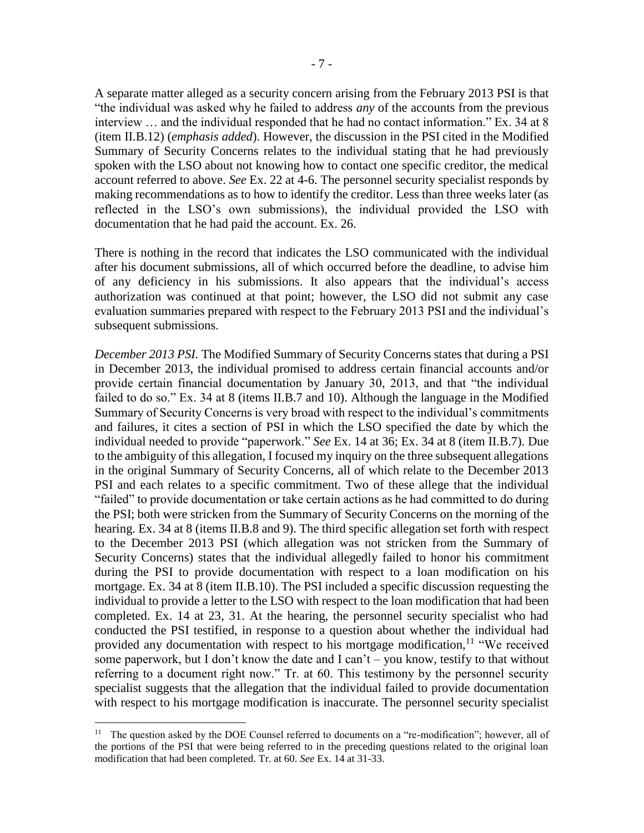A separate matter alleged as a security concern arising from the February 2013 PSI is that "the individual was asked why he failed to address *any* of the accounts from the previous interview … and the individual responded that he had no contact information." Ex. 34 at 8 (item II.B.12) (*emphasis added*). However, the discussion in the PSI cited in the Modified Summary of Security Concerns relates to the individual stating that he had previously spoken with the LSO about not knowing how to contact one specific creditor, the medical account referred to above. *See* Ex. 22 at 4-6. The personnel security specialist responds by making recommendations as to how to identify the creditor. Less than three weeks later (as reflected in the LSO's own submissions), the individual provided the LSO with documentation that he had paid the account. Ex. 26.

There is nothing in the record that indicates the LSO communicated with the individual after his document submissions, all of which occurred before the deadline, to advise him of any deficiency in his submissions. It also appears that the individual's access authorization was continued at that point; however, the LSO did not submit any case evaluation summaries prepared with respect to the February 2013 PSI and the individual's subsequent submissions.

*December 2013 PSI.* The Modified Summary of Security Concerns states that during a PSI in December 2013, the individual promised to address certain financial accounts and/or provide certain financial documentation by January 30, 2013, and that "the individual failed to do so." Ex. 34 at 8 (items II.B.7 and 10). Although the language in the Modified Summary of Security Concerns is very broad with respect to the individual's commitments and failures, it cites a section of PSI in which the LSO specified the date by which the individual needed to provide "paperwork." *See* Ex. 14 at 36; Ex. 34 at 8 (item II.B.7). Due to the ambiguity of this allegation, I focused my inquiry on the three subsequent allegations in the original Summary of Security Concerns, all of which relate to the December 2013 PSI and each relates to a specific commitment. Two of these allege that the individual "failed" to provide documentation or take certain actions as he had committed to do during the PSI; both were stricken from the Summary of Security Concerns on the morning of the hearing. Ex. 34 at 8 (items II.B.8 and 9). The third specific allegation set forth with respect to the December 2013 PSI (which allegation was not stricken from the Summary of Security Concerns) states that the individual allegedly failed to honor his commitment during the PSI to provide documentation with respect to a loan modification on his mortgage. Ex. 34 at 8 (item II.B.10). The PSI included a specific discussion requesting the individual to provide a letter to the LSO with respect to the loan modification that had been completed. Ex. 14 at 23, 31. At the hearing, the personnel security specialist who had conducted the PSI testified, in response to a question about whether the individual had provided any documentation with respect to his mortgage modification,<sup>11</sup> "We received some paperwork, but I don't know the date and I can't – you know, testify to that without referring to a document right now." Tr. at 60. This testimony by the personnel security specialist suggests that the allegation that the individual failed to provide documentation with respect to his mortgage modification is inaccurate. The personnel security specialist

 $\overline{a}$ 

<sup>&</sup>lt;sup>11</sup> The question asked by the DOE Counsel referred to documents on a "re-modification"; however, all of the portions of the PSI that were being referred to in the preceding questions related to the original loan modification that had been completed. Tr. at 60. *See* Ex. 14 at 31-33.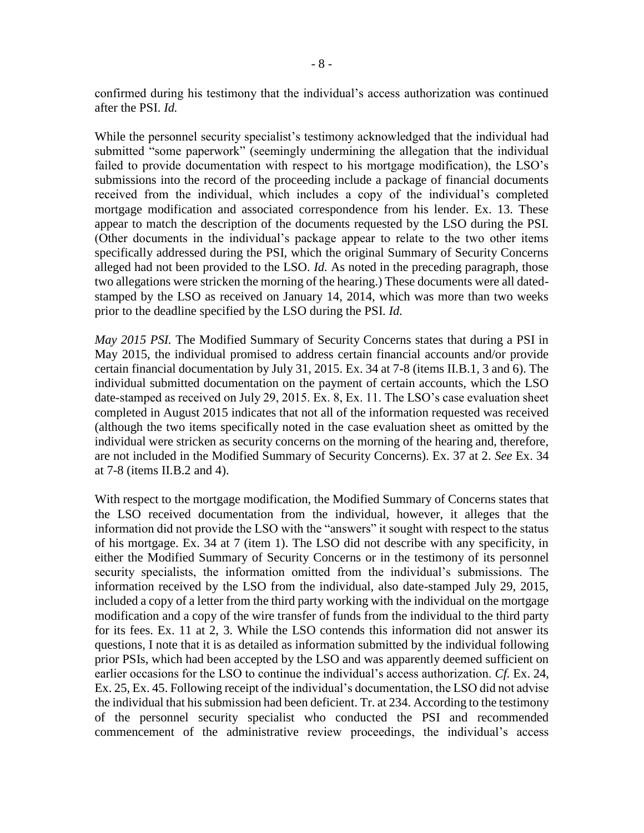confirmed during his testimony that the individual's access authorization was continued after the PSI. *Id.*

While the personnel security specialist's testimony acknowledged that the individual had submitted "some paperwork" (seemingly undermining the allegation that the individual failed to provide documentation with respect to his mortgage modification), the LSO's submissions into the record of the proceeding include a package of financial documents received from the individual, which includes a copy of the individual's completed mortgage modification and associated correspondence from his lender. Ex. 13. These appear to match the description of the documents requested by the LSO during the PSI. (Other documents in the individual's package appear to relate to the two other items specifically addressed during the PSI, which the original Summary of Security Concerns alleged had not been provided to the LSO. *Id.* As noted in the preceding paragraph, those two allegations were stricken the morning of the hearing.) These documents were all datedstamped by the LSO as received on January 14, 2014, which was more than two weeks prior to the deadline specified by the LSO during the PSI. *Id.*

*May 2015 PSI.* The Modified Summary of Security Concerns states that during a PSI in May 2015, the individual promised to address certain financial accounts and/or provide certain financial documentation by July 31, 2015. Ex. 34 at 7-8 (items II.B.1, 3 and 6). The individual submitted documentation on the payment of certain accounts, which the LSO date-stamped as received on July 29, 2015. Ex. 8, Ex. 11. The LSO's case evaluation sheet completed in August 2015 indicates that not all of the information requested was received (although the two items specifically noted in the case evaluation sheet as omitted by the individual were stricken as security concerns on the morning of the hearing and, therefore, are not included in the Modified Summary of Security Concerns). Ex. 37 at 2. *See* Ex. 34 at 7-8 (items II.B.2 and 4).

With respect to the mortgage modification, the Modified Summary of Concerns states that the LSO received documentation from the individual, however, it alleges that the information did not provide the LSO with the "answers" it sought with respect to the status of his mortgage. Ex. 34 at 7 (item 1). The LSO did not describe with any specificity, in either the Modified Summary of Security Concerns or in the testimony of its personnel security specialists, the information omitted from the individual's submissions. The information received by the LSO from the individual, also date-stamped July 29, 2015, included a copy of a letter from the third party working with the individual on the mortgage modification and a copy of the wire transfer of funds from the individual to the third party for its fees. Ex. 11 at 2, 3. While the LSO contends this information did not answer its questions, I note that it is as detailed as information submitted by the individual following prior PSIs, which had been accepted by the LSO and was apparently deemed sufficient on earlier occasions for the LSO to continue the individual's access authorization. *Cf.* Ex. 24, Ex. 25, Ex. 45. Following receipt of the individual's documentation, the LSO did not advise the individual that his submission had been deficient. Tr. at 234. According to the testimony of the personnel security specialist who conducted the PSI and recommended commencement of the administrative review proceedings, the individual's access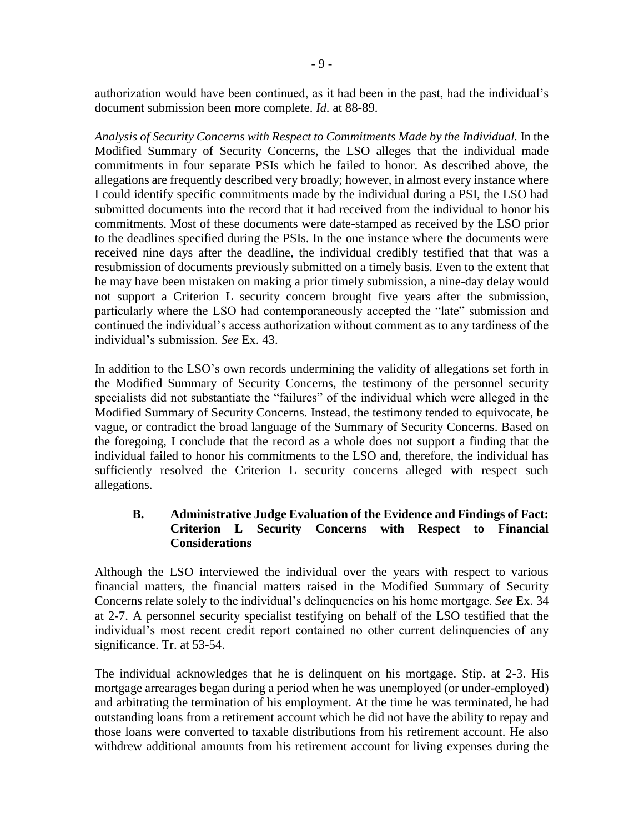authorization would have been continued, as it had been in the past, had the individual's document submission been more complete. *Id.* at 88-89.

*Analysis of Security Concerns with Respect to Commitments Made by the Individual.* In the Modified Summary of Security Concerns, the LSO alleges that the individual made commitments in four separate PSIs which he failed to honor. As described above, the allegations are frequently described very broadly; however, in almost every instance where I could identify specific commitments made by the individual during a PSI, the LSO had submitted documents into the record that it had received from the individual to honor his commitments. Most of these documents were date-stamped as received by the LSO prior to the deadlines specified during the PSIs. In the one instance where the documents were received nine days after the deadline, the individual credibly testified that that was a resubmission of documents previously submitted on a timely basis. Even to the extent that he may have been mistaken on making a prior timely submission, a nine-day delay would not support a Criterion L security concern brought five years after the submission, particularly where the LSO had contemporaneously accepted the "late" submission and continued the individual's access authorization without comment as to any tardiness of the individual's submission. *See* Ex. 43.

In addition to the LSO's own records undermining the validity of allegations set forth in the Modified Summary of Security Concerns, the testimony of the personnel security specialists did not substantiate the "failures" of the individual which were alleged in the Modified Summary of Security Concerns. Instead, the testimony tended to equivocate, be vague, or contradict the broad language of the Summary of Security Concerns. Based on the foregoing, I conclude that the record as a whole does not support a finding that the individual failed to honor his commitments to the LSO and, therefore, the individual has sufficiently resolved the Criterion L security concerns alleged with respect such allegations.

# **B. Administrative Judge Evaluation of the Evidence and Findings of Fact: Criterion L Security Concerns with Respect to Financial Considerations**

Although the LSO interviewed the individual over the years with respect to various financial matters, the financial matters raised in the Modified Summary of Security Concerns relate solely to the individual's delinquencies on his home mortgage. *See* Ex. 34 at 2-7. A personnel security specialist testifying on behalf of the LSO testified that the individual's most recent credit report contained no other current delinquencies of any significance. Tr. at 53-54.

The individual acknowledges that he is delinquent on his mortgage. Stip. at 2-3. His mortgage arrearages began during a period when he was unemployed (or under-employed) and arbitrating the termination of his employment. At the time he was terminated, he had outstanding loans from a retirement account which he did not have the ability to repay and those loans were converted to taxable distributions from his retirement account. He also withdrew additional amounts from his retirement account for living expenses during the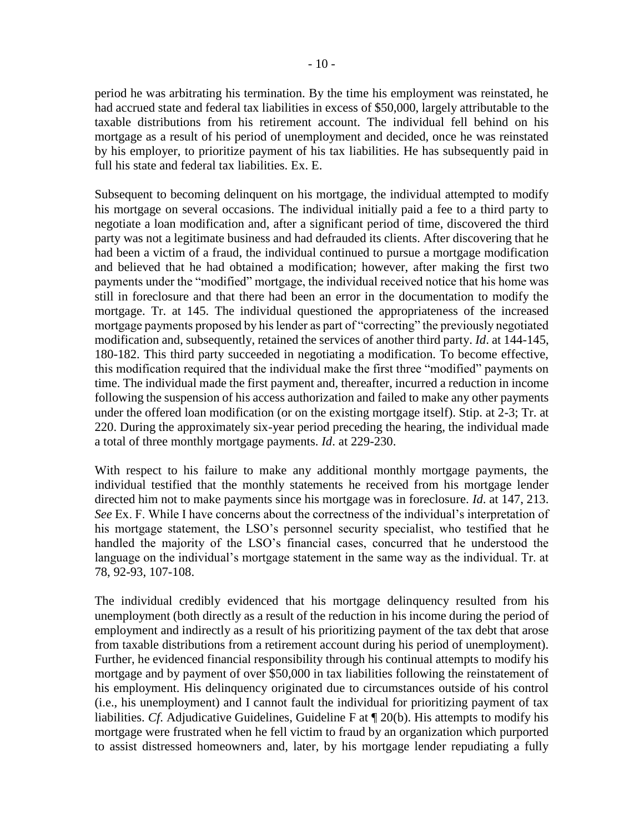period he was arbitrating his termination. By the time his employment was reinstated, he had accrued state and federal tax liabilities in excess of \$50,000, largely attributable to the taxable distributions from his retirement account. The individual fell behind on his mortgage as a result of his period of unemployment and decided, once he was reinstated by his employer, to prioritize payment of his tax liabilities. He has subsequently paid in full his state and federal tax liabilities. Ex. E.

Subsequent to becoming delinquent on his mortgage, the individual attempted to modify his mortgage on several occasions. The individual initially paid a fee to a third party to negotiate a loan modification and, after a significant period of time, discovered the third party was not a legitimate business and had defrauded its clients. After discovering that he had been a victim of a fraud, the individual continued to pursue a mortgage modification and believed that he had obtained a modification; however, after making the first two payments under the "modified" mortgage, the individual received notice that his home was still in foreclosure and that there had been an error in the documentation to modify the mortgage. Tr. at 145. The individual questioned the appropriateness of the increased mortgage payments proposed by his lender as part of "correcting" the previously negotiated modification and, subsequently, retained the services of another third party. *Id*. at 144-145, 180-182. This third party succeeded in negotiating a modification. To become effective, this modification required that the individual make the first three "modified" payments on time. The individual made the first payment and, thereafter, incurred a reduction in income following the suspension of his access authorization and failed to make any other payments under the offered loan modification (or on the existing mortgage itself). Stip. at 2-3; Tr. at 220. During the approximately six-year period preceding the hearing, the individual made a total of three monthly mortgage payments. *Id*. at 229-230.

With respect to his failure to make any additional monthly mortgage payments, the individual testified that the monthly statements he received from his mortgage lender directed him not to make payments since his mortgage was in foreclosure. *Id*. at 147, 213. *See* Ex. F. While I have concerns about the correctness of the individual's interpretation of his mortgage statement, the LSO's personnel security specialist, who testified that he handled the majority of the LSO's financial cases, concurred that he understood the language on the individual's mortgage statement in the same way as the individual. Tr. at 78, 92-93, 107-108.

The individual credibly evidenced that his mortgage delinquency resulted from his unemployment (both directly as a result of the reduction in his income during the period of employment and indirectly as a result of his prioritizing payment of the tax debt that arose from taxable distributions from a retirement account during his period of unemployment). Further, he evidenced financial responsibility through his continual attempts to modify his mortgage and by payment of over \$50,000 in tax liabilities following the reinstatement of his employment. His delinquency originated due to circumstances outside of his control (i.e., his unemployment) and I cannot fault the individual for prioritizing payment of tax liabilities. *Cf*. Adjudicative Guidelines, Guideline F at ¶ 20(b). His attempts to modify his mortgage were frustrated when he fell victim to fraud by an organization which purported to assist distressed homeowners and, later, by his mortgage lender repudiating a fully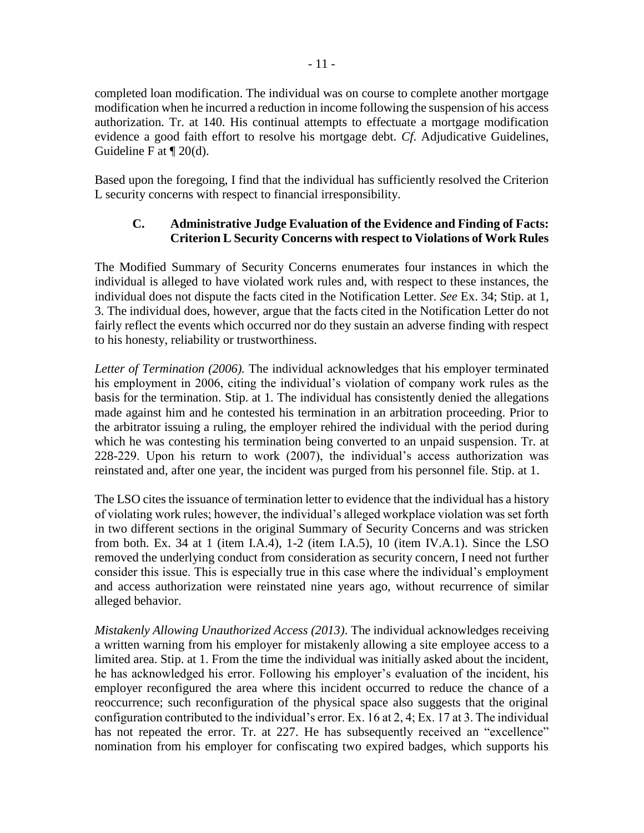completed loan modification. The individual was on course to complete another mortgage modification when he incurred a reduction in income following the suspension of his access authorization. Tr. at 140. His continual attempts to effectuate a mortgage modification evidence a good faith effort to resolve his mortgage debt. *Cf*. Adjudicative Guidelines, Guideline F at ¶ 20(d).

Based upon the foregoing, I find that the individual has sufficiently resolved the Criterion L security concerns with respect to financial irresponsibility.

# **C. Administrative Judge Evaluation of the Evidence and Finding of Facts: Criterion L Security Concerns with respect to Violations of Work Rules**

The Modified Summary of Security Concerns enumerates four instances in which the individual is alleged to have violated work rules and, with respect to these instances, the individual does not dispute the facts cited in the Notification Letter. *See* Ex. 34; Stip. at 1, 3. The individual does, however, argue that the facts cited in the Notification Letter do not fairly reflect the events which occurred nor do they sustain an adverse finding with respect to his honesty, reliability or trustworthiness.

*Letter of Termination (2006).* The individual acknowledges that his employer terminated his employment in 2006, citing the individual's violation of company work rules as the basis for the termination. Stip. at 1*.* The individual has consistently denied the allegations made against him and he contested his termination in an arbitration proceeding. Prior to the arbitrator issuing a ruling, the employer rehired the individual with the period during which he was contesting his termination being converted to an unpaid suspension. Tr. at 228-229. Upon his return to work (2007), the individual's access authorization was reinstated and, after one year, the incident was purged from his personnel file. Stip. at 1.

The LSO cites the issuance of termination letter to evidence that the individual has a history of violating work rules; however, the individual's alleged workplace violation was set forth in two different sections in the original Summary of Security Concerns and was stricken from both. Ex. 34 at 1 (item I.A.4), 1-2 (item I.A.5), 10 (item IV.A.1). Since the LSO removed the underlying conduct from consideration as security concern, I need not further consider this issue. This is especially true in this case where the individual's employment and access authorization were reinstated nine years ago, without recurrence of similar alleged behavior.

*Mistakenly Allowing Unauthorized Access (2013)*. The individual acknowledges receiving a written warning from his employer for mistakenly allowing a site employee access to a limited area. Stip. at 1. From the time the individual was initially asked about the incident, he has acknowledged his error. Following his employer's evaluation of the incident, his employer reconfigured the area where this incident occurred to reduce the chance of a reoccurrence; such reconfiguration of the physical space also suggests that the original configuration contributed to the individual's error. Ex. 16 at 2, 4; Ex. 17 at 3. The individual has not repeated the error. Tr. at 227. He has subsequently received an "excellence" nomination from his employer for confiscating two expired badges, which supports his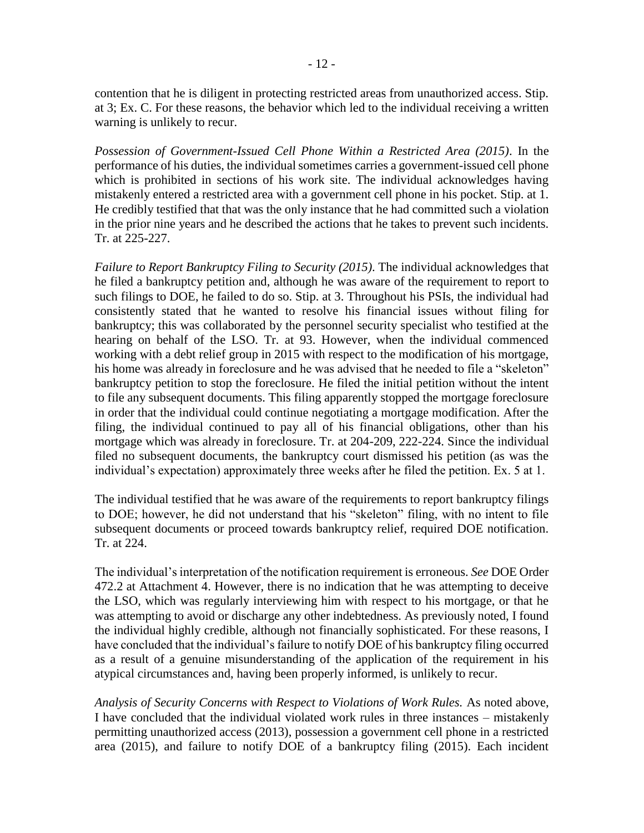contention that he is diligent in protecting restricted areas from unauthorized access. Stip. at 3; Ex. C. For these reasons, the behavior which led to the individual receiving a written warning is unlikely to recur.

*Possession of Government-Issued Cell Phone Within a Restricted Area (2015)*. In the performance of his duties, the individual sometimes carries a government-issued cell phone which is prohibited in sections of his work site. The individual acknowledges having mistakenly entered a restricted area with a government cell phone in his pocket. Stip. at 1. He credibly testified that that was the only instance that he had committed such a violation in the prior nine years and he described the actions that he takes to prevent such incidents. Tr. at 225-227.

*Failure to Report Bankruptcy Filing to Security (2015)*. The individual acknowledges that he filed a bankruptcy petition and, although he was aware of the requirement to report to such filings to DOE, he failed to do so. Stip. at 3. Throughout his PSIs, the individual had consistently stated that he wanted to resolve his financial issues without filing for bankruptcy; this was collaborated by the personnel security specialist who testified at the hearing on behalf of the LSO. Tr. at 93. However, when the individual commenced working with a debt relief group in 2015 with respect to the modification of his mortgage, his home was already in foreclosure and he was advised that he needed to file a "skeleton" bankruptcy petition to stop the foreclosure. He filed the initial petition without the intent to file any subsequent documents. This filing apparently stopped the mortgage foreclosure in order that the individual could continue negotiating a mortgage modification. After the filing, the individual continued to pay all of his financial obligations, other than his mortgage which was already in foreclosure. Tr. at 204-209, 222-224. Since the individual filed no subsequent documents, the bankruptcy court dismissed his petition (as was the individual's expectation) approximately three weeks after he filed the petition. Ex. 5 at 1.

The individual testified that he was aware of the requirements to report bankruptcy filings to DOE; however, he did not understand that his "skeleton" filing, with no intent to file subsequent documents or proceed towards bankruptcy relief, required DOE notification. Tr. at 224.

The individual's interpretation of the notification requirement is erroneous. *See* DOE Order 472.2 at Attachment 4. However, there is no indication that he was attempting to deceive the LSO, which was regularly interviewing him with respect to his mortgage, or that he was attempting to avoid or discharge any other indebtedness. As previously noted, I found the individual highly credible, although not financially sophisticated. For these reasons, I have concluded that the individual's failure to notify DOE of his bankruptcy filing occurred as a result of a genuine misunderstanding of the application of the requirement in his atypical circumstances and, having been properly informed, is unlikely to recur.

*Analysis of Security Concerns with Respect to Violations of Work Rules.* As noted above, I have concluded that the individual violated work rules in three instances – mistakenly permitting unauthorized access (2013), possession a government cell phone in a restricted area (2015), and failure to notify DOE of a bankruptcy filing (2015). Each incident